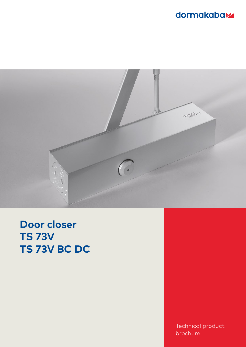## dormakabaz



**Door closer TS 73V TS 73V BC DC**

> Technical product brochure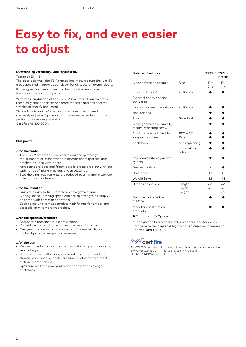# **Easy to fix, and even easier to adjust**

#### **Outstanding versatility. Quality assured.**

Tested to EN 1154.

The classic dormakaba TS 73 range has matured into the world's most specified hydraulic door closer for all types of interior doors. Its pedigree has been proven by the countless imitations that have appeared over the years.

With the introduction of the TS 73 V, now more than ever, this technically superior closer has more features and has become simpler to specify and install.

The spring strength of the closer can now be easily and steplessly adjusted by mean of an allen key, ensuring optimum performance in every situation. Certified to ISO 9001.

#### **Plus points…**

#### **…for the trade**

- The TS73 V covers the application and spring strength requirements of most standard interior doors (parallel arm bracket included with closer).
- Non-standard door and frame details are no problem with our wide range of fixing brackets and accessories.
- Stockholding requirements are reduced to a minimum without affecting service levels.

#### **…for the installer**

- Quick and easy to fix completely straightforward.
- Closing speed, latching speed and spring strength all simply adjusted with common handtools.
- Each boxed unit comes complete with fixings for timber and a parallel arm conversion bracket.

#### **…for the specifier/architect**

- Compact dimensions in a classic shape.
- Versatile in application, with a wide range of finishes.
- Designed to cope with most door and frame details, and backed by a wide range of accessories.

#### **…for the user**

- Peace of mind a closer that works well and goes on working year after year.
- High mechanical efficiency, low sensitivity to temperature change, wide opening angle, pressure relief valve to protect hydraulics from abuse.
- Optimum wall and door protection thanks to "thinking" backcheck.

| <b>Data and features</b>                              |                                                        | TS73 V          | <b>TS73 V</b><br><b>BC DC</b> |
|-------------------------------------------------------|--------------------------------------------------------|-----------------|-------------------------------|
| Closing force adjustable                              | Size                                                   | EN<br>$2 - 4$   | EN<br>$1 - 4$                 |
| Standard doors <sup>1)</sup>                          | $\leq$ 1100 mm                                         |                 |                               |
| External doors, opening<br>outwards <sup>1)</sup>     |                                                        |                 |                               |
| Fire and smoke check doors <sup>1)</sup>              | $\leq$ 1100 mm                                         |                 |                               |
| Non-handed                                            |                                                        |                 |                               |
| Arm                                                   | Standard                                               |                 |                               |
| Closing force adjustable by<br>means of setting screw |                                                        |                 |                               |
| Closing speed adjustable at<br>2 separate valves      | $180^{\circ} - 15^{\circ}$<br>$15^{\circ} - 0^{\circ}$ |                 |                               |
| <b>Backcheck</b>                                      | self-regulating                                        |                 |                               |
|                                                       | adjustable at<br>valve                                 |                 |                               |
| Adjustable latching action<br>by arm                  |                                                        |                 |                               |
| Delayed action                                        |                                                        |                 |                               |
| Hold-open                                             |                                                        | Ω               | Ω                             |
| Weight in kg                                          |                                                        | 1.3             | 1.3                           |
| Dimensions in mm                                      | Length<br>Depth<br>Height                              | 225<br>40<br>60 | 245<br>46<br>60               |
| Door closer tested to<br>EN 1154                      |                                                        |                 |                               |
| mark for construction<br>products                     |                                                        |                 |                               |

● Yes – no ○ Option

\* For high and heavy doors, external doors, and for doors required to close against high wind pressure, we recommend dormakaba TS 83.

### Certifire

The TS 73 V complies with the requirements and/or recommendations of the following: CERTIFIRE approved for fire doors ITT 120; MM/IMM 240; Ref. CF 117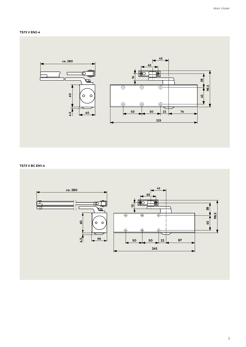#### **TS73 V EN2-4**



#### **TS73 V BC EN1-4**

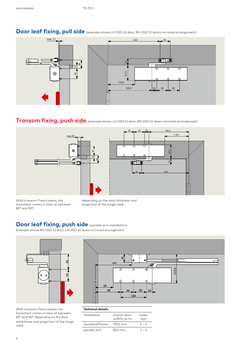

### **Door leaf fixing, pull side** (example shows LH (ISO 6) door; RH (ISO 5) doors mirrored arrangement)

### **Transom fixing, push side** (example shows LH (ISO 6) door; RH (ISO 5) doors mirrored arrangement)





With transom-fixed closers, the backcheck comes in later at between 85° and 90°,

depending on the door thickness and projection of the hinge used.

### **Door leaf fixing, push side** (parallel arm installation)

Example shows RH (ISO 5) door; LH (ISO 6) doors mirrored arrangement



With transom-fixed closers, the backcheck comes in later at between 85° and 90°, depending on the door wthickness and projection of the hinge used.



#### **Technical details**

| installation   | interior door<br>widths up to | closer<br>size |
|----------------|-------------------------------|----------------|
| standard/frame | $1100 \text{ mm}$             | $2 - 4$        |
| parallel arm   | $950 \text{ mm}$              | $2 - 3$        |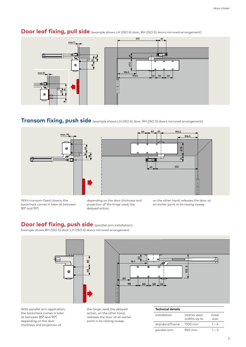

### **Door leaf fixing, pull side** (example shows LH (ISO 6) door; RH (ISO 5) doors mirrored arrangement)

### **Transom fixing, push side** (example shows LH (ISO 6) door; RH (ISO 5) doors mirrored arrangement)





With transom-fixed closers, the backcheck comes in later at between 85° and 90°,

depending on the door thickness and projection of the hinge used; the delayed action,

on the other hand, releases the door at an earlier point in its closing sweep.

### **Door leaf fixing, push side** (parallel arm installation)

Example shows RH (ISO 5) door; LH (ISO 6) doors mirrored arrangement



With parallel arm application, the backcheck comes in later at between 85° and 90°, depending on the door thickness and projection of

the hinge used; the delayed action, on the other hand, releases the door at an earlier point in its closing sweep.

| <b>Technical details</b> |                               |                |
|--------------------------|-------------------------------|----------------|
| installation             | interior door<br>widths up to | closer<br>size |
| standard/frame           | 1100 mm                       | $1 - 4$        |
| parallel arm             | 950 mm                        | 1 – 3          |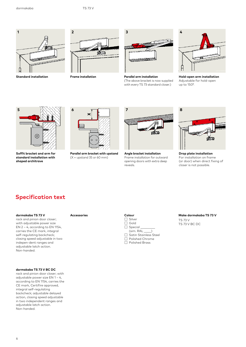

**Standard installation**



**Frame installation**



**Parallel arm installation**  (The above bracket is now supplied with every TS 73 standard closer.)



**Hold-open arm installation**  Adjustable for hold-open up to 150°.



**Soffit bracket and arm for standard installation with shaped architrave**



**Parallel arm bracket with upstand**   $(X =$  upstand 35 or 60 mm)



**Angle bracket installation**  Frame installation for outward opening doors with extra deep reveals.



**Drop plate installation**  For installation on frame (or door) when direct fixing of closer is not possible.

### **Specification text**

#### **dormakaba TS 73 V**

rack and pinion door closer; with adjustable power size EN 2 – 4, according to EN 1154, carries the CE mark, integral self-regulating backcheck; closing speed adjustable in two indepen-dent ranges and adjustable latch action. Non-handed.

#### **dormakaba TS 73 V BC DC**

rack and pinion door closer; with adjustable power size EN 1 – 4, according to EN 1154, carries the CE mark, Certifire approved, integral self-regulating backcheck; adjustable delayed action, closing speed adjustable in two independent ranges and adjustable latch action. Non-handed.

#### **Accessories Colour**



**Make dormakaba TS 73 V**

TS 73 V TS 73 V BC DC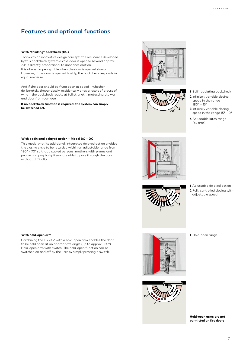### **Features and optional functions**

#### **With "thinking" backcheck (BC)**

Thanks to an innovative design concept, the resistance developed by this backcheck system as the door is opened beyond approx. 70° is directly proportional to door acceleration.

It is almost imperceptible when the door is opened slowly. However, if the door is opened hastily, the backcheck responds in equal measure.

And if the door should be flung open at speed – whether deliberately, thoughtlessly, accidentally or as a result of a gust of wind – the backcheck reacts at full strength, protecting the wall and door from damage.

#### **If no backcheck function is required, the system can simply be switched off.**

#### **With additional delayed action – Model BC + DC**

This model with its additional, integrated delayed action enables the closing cycle to be retarded within an adjustable range from 180° – 70° so that disabled persons, mothers with prams and people carrying bulky items are able to pass through the door without difficulty.

#### **With hold-open arm**

Combining the TS 73 V with a hold-open arm enables the door to be held open at an appropriate angle (up to approx. 150°) Hold-open arm with switch: The hold-open function can be switched on and off by the user by simply pressing a switch.





- **1** Self-regulating backcheck
- **2** Infinitely variable closing speed in the range 180° – 15°
- **3** Infinitely variable closing speed in the range  $15^{\circ}$  –  $0^{\circ}$
- **4** Adjustable latch range (by arm)





**1** Adjustable delayed action **2** Fully controlled closing with adjustable speed

**1** Hold-open range





**Hold-open arms are not permitted on fire doors**